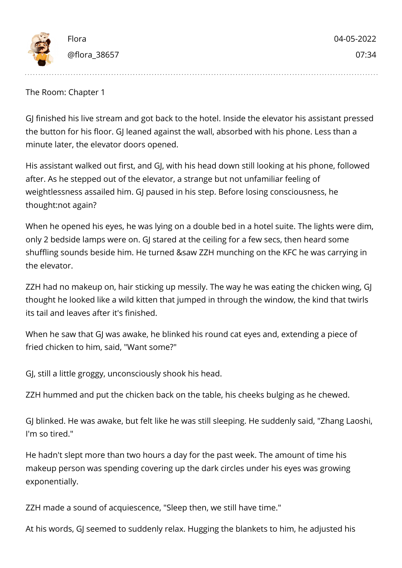

The Room: Chapter 1

GJ finished his live stream and got back to the hotel. Inside the elevator his assistant pressed the button for his floor. GJ leaned against the wall, absorbed with his phone. Less than a minute later, the elevator doors opened.

His assistant walked out first, and GJ, with his head down still looking at his phone, followed after. As he stepped out of the elevator, a strange but not unfamiliar feeling of weightlessness assailed him. GJ paused in his step. Before losing consciousness, he thought:not again?

When he opened his eyes, he was lying on a double bed in a hotel suite. The lights were dim, only 2 bedside lamps were on. GJ stared at the ceiling for a few secs, then heard some shuffling sounds beside him. He turned &saw ZZH munching on the KFC he was carrying in the elevator.

ZZH had no makeup on, hair sticking up messily. The way he was eating the chicken wing, GJ thought he looked like a wild kitten that jumped in through the window, the kind that twirls its tail and leaves after it's finished.

When he saw that GJ was awake, he blinked his round cat eyes and, extending a piece of fried chicken to him, said, "Want some?"

GJ, still a little groggy, unconsciously shook his head.

ZZH hummed and put the chicken back on the table, his cheeks bulging as he chewed.

GJ blinked. He was awake, but felt like he was still sleeping. He suddenly said, "Zhang Laoshi, I'm so tired."

He hadn't slept more than two hours a day for the past week. The amount of time his makeup person was spending covering up the dark circles under his eyes was growing exponentially.

ZZH made a sound of acquiescence, "Sleep then, we still have time."

At his words, GJ seemed to suddenly relax. Hugging the blankets to him, he adjusted his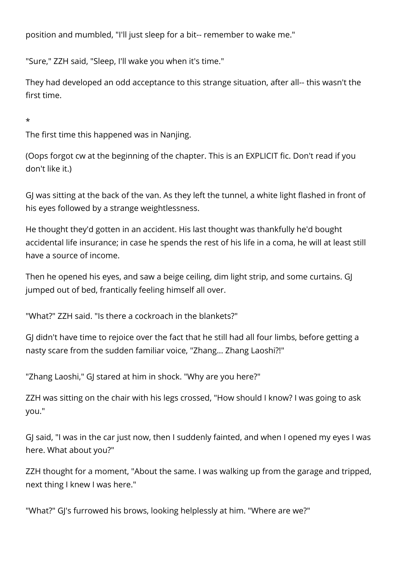position and mumbled, "I'll just sleep for a bit-- remember to wake me."

"Sure," ZZH said, "Sleep, I'll wake you when it's time."

They had developed an odd acceptance to this strange situation, after all-- this wasn't the first time.

## \*

The first time this happened was in Nanjing.

(Oops forgot cw at the beginning of the chapter. This is an EXPLICIT fic. Don't read if you don't like it.)

GJ was sitting at the back of the van. As they left the tunnel, a white light flashed in front of his eyes followed by a strange weightlessness.

He thought they'd gotten in an accident. His last thought was thankfully he'd bought accidental life insurance; in case he spends the rest of his life in a coma, he will at least still have a source of income.

Then he opened his eyes, and saw a beige ceiling, dim light strip, and some curtains. GJ jumped out of bed, frantically feeling himself all over.

"What?" ZZH said. "Is there a cockroach in the blankets?"

GJ didn't have time to rejoice over the fact that he still had all four limbs, before getting a nasty scare from the sudden familiar voice, "Zhang... Zhang Laoshi?!"

"Zhang Laoshi," GJ stared at him in shock. "Why are you here?"

ZZH was sitting on the chair with his legs crossed, "How should I know? I was going to ask you."

GJ said, "I was in the car just now, then I suddenly fainted, and when I opened my eyes I was here. What about you?"

ZZH thought for a moment, "About the same. I was walking up from the garage and tripped, next thing I knew I was here."

"What?" GJ's furrowed his brows, looking helplessly at him. "Where are we?"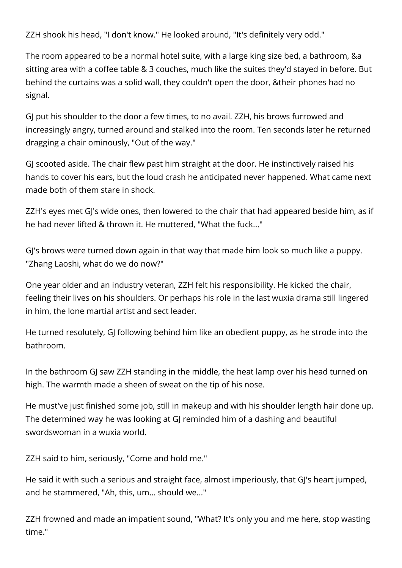ZZH shook his head, "I don't know." He looked around, "It's definitely very odd."

The room appeared to be a normal hotel suite, with a large king size bed, a bathroom, &a sitting area with a coffee table & 3 couches, much like the suites they'd stayed in before. But behind the curtains was a solid wall, they couldn't open the door, &their phones had no signal.

GJ put his shoulder to the door a few times, to no avail. ZZH, his brows furrowed and increasingly angry, turned around and stalked into the room. Ten seconds later he returned dragging a chair ominously, "Out of the way."

GJ scooted aside. The chair flew past him straight at the door. He instinctively raised his hands to cover his ears, but the loud crash he anticipated never happened. What came next made both of them stare in shock.

ZZH's eyes met GJ's wide ones, then lowered to the chair that had appeared beside him, as if he had never lifted & thrown it. He muttered, "What the fuck..."

GJ's brows were turned down again in that way that made him look so much like a puppy. "Zhang Laoshi, what do we do now?"

One year older and an industry veteran, ZZH felt his responsibility. He kicked the chair, feeling their lives on his shoulders. Or perhaps his role in the last wuxia drama still lingered in him, the lone martial artist and sect leader.

He turned resolutely, GJ following behind him like an obedient puppy, as he strode into the bathroom.

In the bathroom GJ saw ZZH standing in the middle, the heat lamp over his head turned on high. The warmth made a sheen of sweat on the tip of his nose.

He must've just finished some job, still in makeup and with his shoulder length hair done up. The determined way he was looking at GJ reminded him of a dashing and beautiful swordswoman in a wuxia world.

ZZH said to him, seriously, "Come and hold me."

He said it with such a serious and straight face, almost imperiously, that GJ's heart jumped, and he stammered, "Ah, this, um... should we..."

ZZH frowned and made an impatient sound, "What? It's only you and me here, stop wasting time."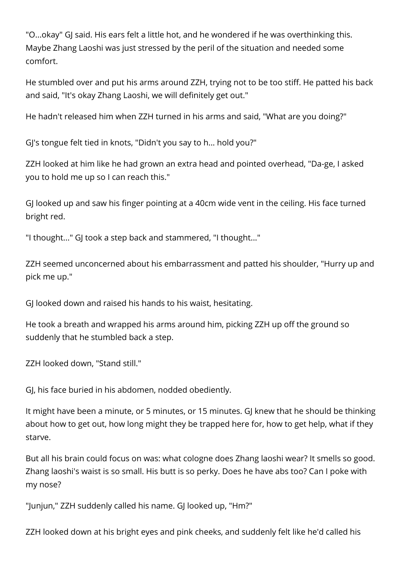"O...okay" GJ said. His ears felt a little hot, and he wondered if he was overthinking this. Maybe Zhang Laoshi was just stressed by the peril of the situation and needed some comfort.

He stumbled over and put his arms around ZZH, trying not to be too stiff. He patted his back and said, "It's okay Zhang Laoshi, we will definitely get out."

He hadn't released him when ZZH turned in his arms and said, "What are you doing?"

GJ's tongue felt tied in knots, "Didn't you say to h... hold you?"

ZZH looked at him like he had grown an extra head and pointed overhead, "Da-ge, I asked you to hold me up so I can reach this."

GJ looked up and saw his finger pointing at a 40cm wide vent in the ceiling. His face turned bright red.

"I thought..." GJ took a step back and stammered, "I thought..."

ZZH seemed unconcerned about his embarrassment and patted his shoulder, "Hurry up and pick me up."

GJ looked down and raised his hands to his waist, hesitating.

He took a breath and wrapped his arms around him, picking ZZH up off the ground so suddenly that he stumbled back a step.

ZZH looked down, "Stand still."

GJ, his face buried in his abdomen, nodded obediently.

It might have been a minute, or 5 minutes, or 15 minutes. GJ knew that he should be thinking about how to get out, how long might they be trapped here for, how to get help, what if they starve.

But all his brain could focus on was: what cologne does Zhang laoshi wear? It smells so good. Zhang laoshi's waist is so small. His butt is so perky. Does he have abs too? Can I poke with my nose?

"Junjun," ZZH suddenly called his name. GJ looked up, "Hm?"

ZZH looked down at his bright eyes and pink cheeks, and suddenly felt like he'd called his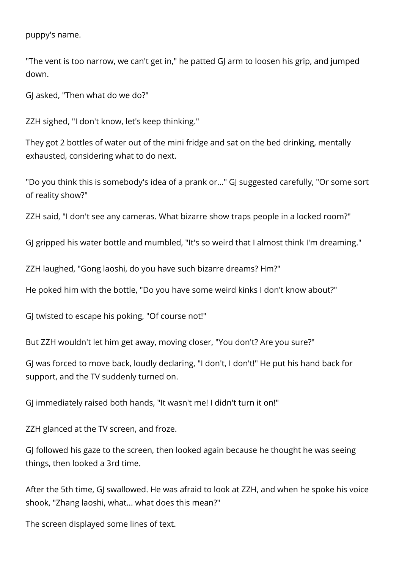puppy's name.

"The vent is too narrow, we can't get in," he patted GJ arm to loosen his grip, and jumped down.

GJ asked, "Then what do we do?"

ZZH sighed, "I don't know, let's keep thinking."

They got 2 bottles of water out of the mini fridge and sat on the bed drinking, mentally exhausted, considering what to do next.

"Do you think this is somebody's idea of a prank or..." GJ suggested carefully, "Or some sort of reality show?"

ZZH said, "I don't see any cameras. What bizarre show traps people in a locked room?"

GJ gripped his water bottle and mumbled, "It's so weird that I almost think I'm dreaming."

ZZH laughed, "Gong laoshi, do you have such bizarre dreams? Hm?"

He poked him with the bottle, "Do you have some weird kinks I don't know about?"

GJ twisted to escape his poking, "Of course not!"

But ZZH wouldn't let him get away, moving closer, "You don't? Are you sure?"

GJ was forced to move back, loudly declaring, "I don't, I don't!" He put his hand back for support, and the TV suddenly turned on.

GJ immediately raised both hands, "It wasn't me! I didn't turn it on!"

ZZH glanced at the TV screen, and froze.

GJ followed his gaze to the screen, then looked again because he thought he was seeing things, then looked a 3rd time.

After the 5th time, GJ swallowed. He was afraid to look at ZZH, and when he spoke his voice shook, "Zhang laoshi, what... what does this mean?"

The screen displayed some lines of text.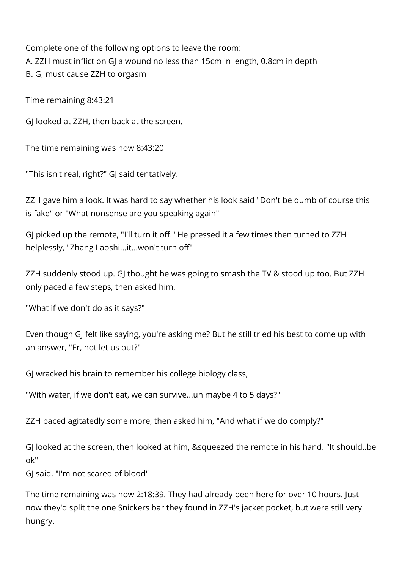Complete one of the following options to leave the room: A. ZZH must inflict on GJ a wound no less than 15cm in length, 0.8cm in depth B. GJ must cause ZZH to orgasm

Time remaining 8:43:21

GJ looked at ZZH, then back at the screen.

The time remaining was now 8:43:20

"This isn't real, right?" GJ said tentatively.

ZZH gave him a look. It was hard to say whether his look said "Don't be dumb of course this is fake" or "What nonsense are you speaking again"

GJ picked up the remote, "I'll turn it off." He pressed it a few times then turned to ZZH helplessly, "Zhang Laoshi...it...won't turn off"

ZZH suddenly stood up. GJ thought he was going to smash the TV & stood up too. But ZZH only paced a few steps, then asked him,

"What if we don't do as it says?"

Even though GJ felt like saying, you're asking me? But he still tried his best to come up with an answer, "Er, not let us out?"

GJ wracked his brain to remember his college biology class,

"With water, if we don't eat, we can survive...uh maybe 4 to 5 days?"

ZZH paced agitatedly some more, then asked him, "And what if we do comply?"

GJ looked at the screen, then looked at him, &squeezed the remote in his hand. "It should..be ok"

GJ said, "I'm not scared of blood"

The time remaining was now 2:18:39. They had already been here for over 10 hours. Just now they'd split the one Snickers bar they found in ZZH's jacket pocket, but were still very hungry.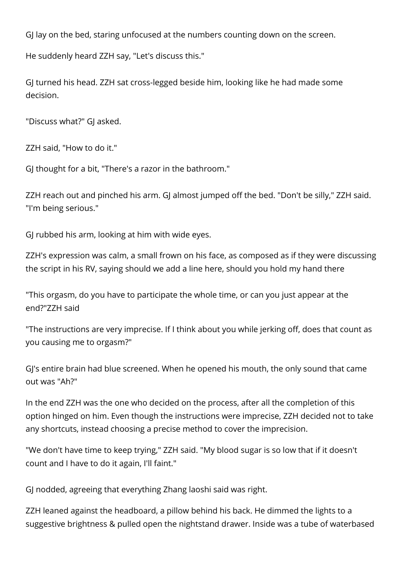GJ lay on the bed, staring unfocused at the numbers counting down on the screen.

He suddenly heard ZZH say, "Let's discuss this."

GJ turned his head. ZZH sat cross-legged beside him, looking like he had made some decision.

"Discuss what?" GJ asked.

ZZH said, "How to do it."

GJ thought for a bit, "There's a razor in the bathroom."

ZZH reach out and pinched his arm. GJ almost jumped off the bed. "Don't be silly," ZZH said. "I'm being serious."

GJ rubbed his arm, looking at him with wide eyes.

ZZH's expression was calm, a small frown on his face, as composed as if they were discussing the script in his RV, saying should we add a line here, should you hold my hand there

"This orgasm, do you have to participate the whole time, or can you just appear at the end?"ZZH said

"The instructions are very imprecise. If I think about you while jerking off, does that count as you causing me to orgasm?"

GJ's entire brain had blue screened. When he opened his mouth, the only sound that came out was "Ah?"

In the end ZZH was the one who decided on the process, after all the completion of this option hinged on him. Even though the instructions were imprecise, ZZH decided not to take any shortcuts, instead choosing a precise method to cover the imprecision.

"We don't have time to keep trying," ZZH said. "My blood sugar is so low that if it doesn't count and I have to do it again, I'll faint."

GJ nodded, agreeing that everything Zhang laoshi said was right.

ZZH leaned against the headboard, a pillow behind his back. He dimmed the lights to a suggestive brightness & pulled open the nightstand drawer. Inside was a tube of waterbased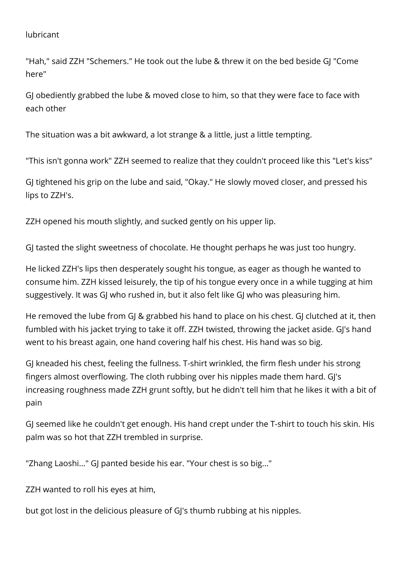lubricant

"Hah," said ZZH "Schemers." He took out the lube & threw it on the bed beside GJ "Come here"

GJ obediently grabbed the lube & moved close to him, so that they were face to face with each other

The situation was a bit awkward, a lot strange & a little, just a little tempting.

"This isn't gonna work" ZZH seemed to realize that they couldn't proceed like this "Let's kiss"

GJ tightened his grip on the lube and said, "Okay." He slowly moved closer, and pressed his lips to ZZH's.

ZZH opened his mouth slightly, and sucked gently on his upper lip.

GJ tasted the slight sweetness of chocolate. He thought perhaps he was just too hungry.

He licked ZZH's lips then desperately sought his tongue, as eager as though he wanted to consume him. ZZH kissed leisurely, the tip of his tongue every once in a while tugging at him suggestively. It was GJ who rushed in, but it also felt like GJ who was pleasuring him.

He removed the lube from GJ & grabbed his hand to place on his chest. GJ clutched at it, then fumbled with his jacket trying to take it off. ZZH twisted, throwing the jacket aside. GJ's hand went to his breast again, one hand covering half his chest. His hand was so big.

GJ kneaded his chest, feeling the fullness. T-shirt wrinkled, the firm flesh under his strong fingers almost overflowing. The cloth rubbing over his nipples made them hard. GJ's increasing roughness made ZZH grunt softly, but he didn't tell him that he likes it with a bit of pain

GJ seemed like he couldn't get enough. His hand crept under the T-shirt to touch his skin. His palm was so hot that ZZH trembled in surprise.

"Zhang Laoshi..." GJ panted beside his ear. "Your chest is so big..."

ZZH wanted to roll his eyes at him,

but got lost in the delicious pleasure of GJ's thumb rubbing at his nipples.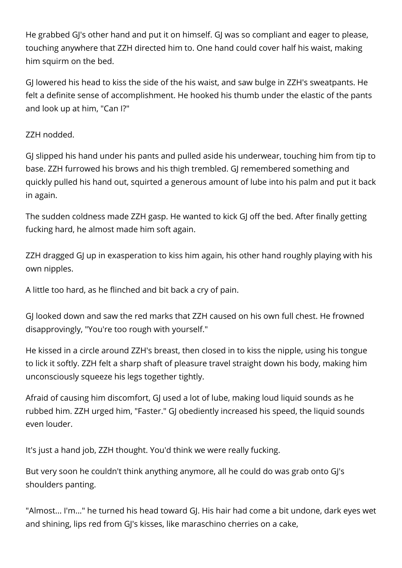He grabbed GJ's other hand and put it on himself. GJ was so compliant and eager to please, touching anywhere that ZZH directed him to. One hand could cover half his waist, making him squirm on the bed.

GJ lowered his head to kiss the side of the his waist, and saw bulge in ZZH's sweatpants. He felt a definite sense of accomplishment. He hooked his thumb under the elastic of the pants and look up at him, "Can I?"

## ZZH nodded.

GJ slipped his hand under his pants and pulled aside his underwear, touching him from tip to base. ZZH furrowed his brows and his thigh trembled. GJ remembered something and quickly pulled his hand out, squirted a generous amount of lube into his palm and put it back in again.

The sudden coldness made ZZH gasp. He wanted to kick GJ off the bed. After finally getting fucking hard, he almost made him soft again.

ZZH dragged GJ up in exasperation to kiss him again, his other hand roughly playing with his own nipples.

A little too hard, as he flinched and bit back a cry of pain.

GJ looked down and saw the red marks that ZZH caused on his own full chest. He frowned disapprovingly, "You're too rough with yourself."

He kissed in a circle around ZZH's breast, then closed in to kiss the nipple, using his tongue to lick it softly. ZZH felt a sharp shaft of pleasure travel straight down his body, making him unconsciously squeeze his legs together tightly.

Afraid of causing him discomfort, GJ used a lot of lube, making loud liquid sounds as he rubbed him. ZZH urged him, "Faster." GJ obediently increased his speed, the liquid sounds even louder.

It's just a hand job, ZZH thought. You'd think we were really fucking.

But very soon he couldn't think anything anymore, all he could do was grab onto GJ's shoulders panting.

"Almost... I'm..." he turned his head toward GJ. His hair had come a bit undone, dark eyes wet and shining, lips red from GJ's kisses, like maraschino cherries on a cake,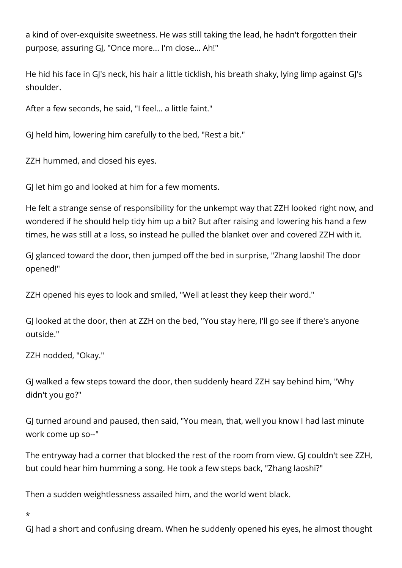a kind of over-exquisite sweetness. He was still taking the lead, he hadn't forgotten their purpose, assuring GJ, "Once more... I'm close... Ah!"

He hid his face in GJ's neck, his hair a little ticklish, his breath shaky, lying limp against GJ's shoulder.

After a few seconds, he said, "I feel... a little faint."

GJ held him, lowering him carefully to the bed, "Rest a bit."

ZZH hummed, and closed his eyes.

GJ let him go and looked at him for a few moments.

He felt a strange sense of responsibility for the unkempt way that ZZH looked right now, and wondered if he should help tidy him up a bit? But after raising and lowering his hand a few times, he was still at a loss, so instead he pulled the blanket over and covered ZZH with it.

GJ glanced toward the door, then jumped off the bed in surprise, "Zhang laoshi! The door opened!"

ZZH opened his eyes to look and smiled, "Well at least they keep their word."

GJ looked at the door, then at ZZH on the bed, "You stay here, I'll go see if there's anyone outside."

ZZH nodded, "Okay."

GJ walked a few steps toward the door, then suddenly heard ZZH say behind him, "Why didn't you go?"

GJ turned around and paused, then said, "You mean, that, well you know I had last minute work come up so--"

The entryway had a corner that blocked the rest of the room from view. GJ couldn't see ZZH, but could hear him humming a song. He took a few steps back, "Zhang laoshi?"

Then a sudden weightlessness assailed him, and the world went black.

\*

GJ had a short and confusing dream. When he suddenly opened his eyes, he almost thought